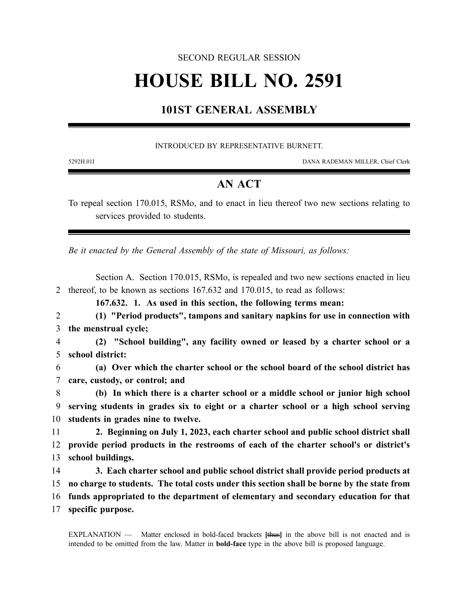### SECOND REGULAR SESSION

# **HOUSE BILL NO. 2591**

## **101ST GENERAL ASSEMBLY**

#### INTRODUCED BY REPRESENTATIVE BURNETT.

5292H.01I DANA RADEMAN MILLER, Chief Clerk

## **AN ACT**

To repeal section 170.015, RSMo, and to enact in lieu thereof two new sections relating to services provided to students.

*Be it enacted by the General Assembly of the state of Missouri, as follows:*

Section A. Section 170.015, RSMo, is repealed and two new sections enacted in lieu 2 thereof, to be known as sections 167.632 and 170.015, to read as follows:

**167.632. 1. As used in this section, the following terms mean:**

2 **(1) "Period products", tampons and sanitary napkins for use in connection with** 3 **the menstrual cycle;**

4 **(2) "School building", any facility owned or leased by a charter school or a** 5 **school district:**

6 **(a) Over which the charter school or the school board of the school district has** 7 **care, custody, or control; and**

8 **(b) In which there is a charter school or a middle school or junior high school** 9 **serving students in grades six to eight or a charter school or a high school serving** 10 **students in grades nine to twelve.**

11 **2. Beginning on July 1, 2023, each charter school and public school district shall** 12 **provide period products in the restrooms of each of the charter school's or district's** 13 **school buildings.**

 **3. Each charter school and public school district shall provide period products at no charge to students. The total costs under this section shall be borne by the state from funds appropriated to the department of elementary and secondary education for that specific purpose.**

EXPLANATION — Matter enclosed in bold-faced brackets **[**thus**]** in the above bill is not enacted and is intended to be omitted from the law. Matter in **bold-face** type in the above bill is proposed language.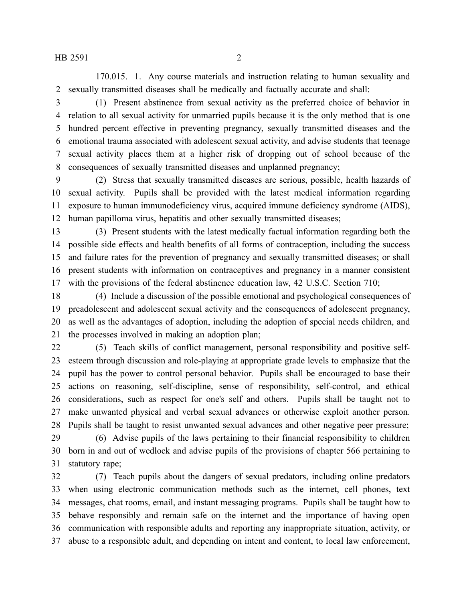170.015. 1. Any course materials and instruction relating to human sexuality and sexually transmitted diseases shall be medically and factually accurate and shall:

 (1) Present abstinence from sexual activity as the preferred choice of behavior in relation to all sexual activity for unmarried pupils because it is the only method that is one hundred percent effective in preventing pregnancy, sexually transmitted diseases and the emotional trauma associated with adolescent sexual activity, and advise students that teenage sexual activity places them at a higher risk of dropping out of school because of the consequences of sexually transmitted diseases and unplanned pregnancy;

 (2) Stress that sexually transmitted diseases are serious, possible, health hazards of sexual activity. Pupils shall be provided with the latest medical information regarding exposure to human immunodeficiency virus, acquired immune deficiency syndrome (AIDS), human papilloma virus, hepatitis and other sexually transmitted diseases;

 (3) Present students with the latest medically factual information regarding both the possible side effects and health benefits of all forms of contraception, including the success and failure rates for the prevention of pregnancy and sexually transmitted diseases; or shall present students with information on contraceptives and pregnancy in a manner consistent with the provisions of the federal abstinence education law, 42 U.S.C. Section 710;

 (4) Include a discussion of the possible emotional and psychological consequences of preadolescent and adolescent sexual activity and the consequences of adolescent pregnancy, as well as the advantages of adoption, including the adoption of special needs children, and the processes involved in making an adoption plan;

 (5) Teach skills of conflict management, personal responsibility and positive self- esteem through discussion and role-playing at appropriate grade levels to emphasize that the pupil has the power to control personal behavior. Pupils shall be encouraged to base their actions on reasoning, self-discipline, sense of responsibility, self-control, and ethical considerations, such as respect for one's self and others. Pupils shall be taught not to make unwanted physical and verbal sexual advances or otherwise exploit another person. Pupils shall be taught to resist unwanted sexual advances and other negative peer pressure; (6) Advise pupils of the laws pertaining to their financial responsibility to children

 born in and out of wedlock and advise pupils of the provisions of chapter 566 pertaining to statutory rape;

 (7) Teach pupils about the dangers of sexual predators, including online predators when using electronic communication methods such as the internet, cell phones, text messages, chat rooms, email, and instant messaging programs. Pupils shall be taught how to behave responsibly and remain safe on the internet and the importance of having open communication with responsible adults and reporting any inappropriate situation, activity, or abuse to a responsible adult, and depending on intent and content, to local law enforcement,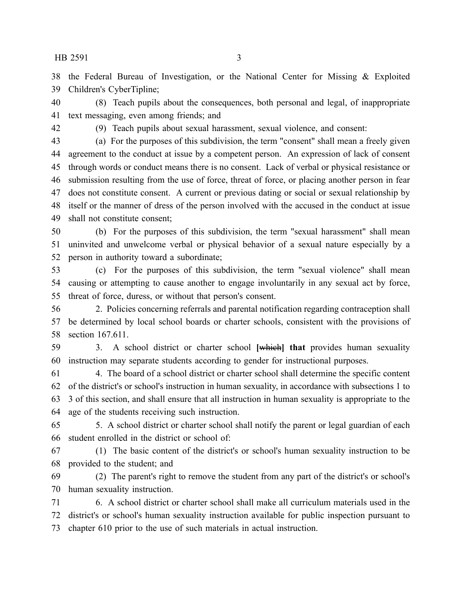HB 2591 3

 the Federal Bureau of Investigation, or the National Center for Missing & Exploited Children's CyberTipline;

 (8) Teach pupils about the consequences, both personal and legal, of inappropriate text messaging, even among friends; and

(9) Teach pupils about sexual harassment, sexual violence, and consent:

 (a) For the purposes of this subdivision, the term "consent" shall mean a freely given agreement to the conduct at issue by a competent person. An expression of lack of consent through words or conduct means there is no consent. Lack of verbal or physical resistance or submission resulting from the use of force, threat of force, or placing another person in fear does not constitute consent. A current or previous dating or social or sexual relationship by itself or the manner of dress of the person involved with the accused in the conduct at issue shall not constitute consent;

 (b) For the purposes of this subdivision, the term "sexual harassment" shall mean uninvited and unwelcome verbal or physical behavior of a sexual nature especially by a person in authority toward a subordinate;

 (c) For the purposes of this subdivision, the term "sexual violence" shall mean causing or attempting to cause another to engage involuntarily in any sexual act by force, threat of force, duress, or without that person's consent.

 2. Policies concerning referrals and parental notification regarding contraception shall be determined by local school boards or charter schools, consistent with the provisions of section 167.611.

 3. A school district or charter school **[**which**] that** provides human sexuality instruction may separate students according to gender for instructional purposes.

 4. The board of a school district or charter school shall determine the specific content of the district's or school's instruction in human sexuality, in accordance with subsections 1 to 3 of this section, and shall ensure that all instruction in human sexuality is appropriate to the age of the students receiving such instruction.

 5. A school district or charter school shall notify the parent or legal guardian of each student enrolled in the district or school of:

 (1) The basic content of the district's or school's human sexuality instruction to be provided to the student; and

 (2) The parent's right to remove the student from any part of the district's or school's human sexuality instruction.

 6. A school district or charter school shall make all curriculum materials used in the district's or school's human sexuality instruction available for public inspection pursuant to chapter 610 prior to the use of such materials in actual instruction.